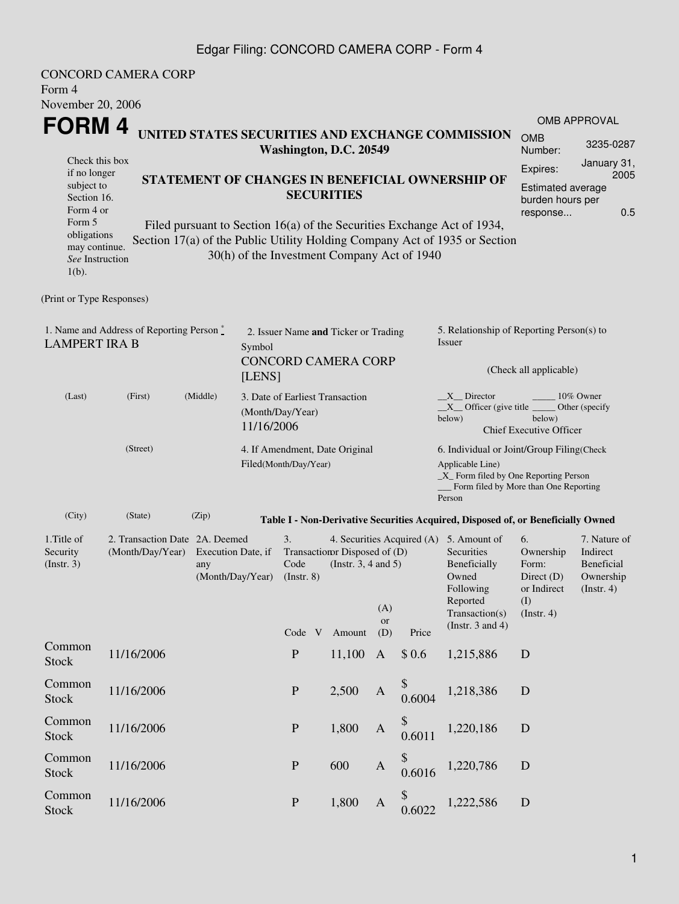## Edgar Filing: CONCORD CAMERA CORP - Form 4

| Form 4                                                                                                                                                                                                                                                                                                                                                                                                                            | <b>CONCORD CAMERA CORP</b>                         |                                                          |                  |                                                                    |                                                     |                                                                   |                         |                                                                                                    |                                                                                                                                                              |                                                                                    |                                                                         |  |
|-----------------------------------------------------------------------------------------------------------------------------------------------------------------------------------------------------------------------------------------------------------------------------------------------------------------------------------------------------------------------------------------------------------------------------------|----------------------------------------------------|----------------------------------------------------------|------------------|--------------------------------------------------------------------|-----------------------------------------------------|-------------------------------------------------------------------|-------------------------|----------------------------------------------------------------------------------------------------|--------------------------------------------------------------------------------------------------------------------------------------------------------------|------------------------------------------------------------------------------------|-------------------------------------------------------------------------|--|
| November 20, 2006                                                                                                                                                                                                                                                                                                                                                                                                                 |                                                    |                                                          |                  |                                                                    |                                                     |                                                                   |                         |                                                                                                    |                                                                                                                                                              |                                                                                    |                                                                         |  |
| FORM 4                                                                                                                                                                                                                                                                                                                                                                                                                            |                                                    |                                                          |                  |                                                                    |                                                     |                                                                   |                         |                                                                                                    |                                                                                                                                                              |                                                                                    | OMB APPROVAL                                                            |  |
| UNITED STATES SECURITIES AND EXCHANGE COMMISSION<br>Washington, D.C. 20549                                                                                                                                                                                                                                                                                                                                                        |                                                    |                                                          |                  |                                                                    |                                                     |                                                                   |                         |                                                                                                    | <b>OMB</b><br>Number:                                                                                                                                        | 3235-0287                                                                          |                                                                         |  |
| Check this box<br>if no longer<br>STATEMENT OF CHANGES IN BENEFICIAL OWNERSHIP OF<br>subject to<br><b>SECURITIES</b><br>Section 16.<br>Form 4 or<br>Form 5<br>Filed pursuant to Section 16(a) of the Securities Exchange Act of 1934,<br>obligations<br>Section 17(a) of the Public Utility Holding Company Act of 1935 or Section<br>may continue.<br>30(h) of the Investment Company Act of 1940<br>See Instruction<br>$1(b)$ . |                                                    |                                                          |                  |                                                                    |                                                     |                                                                   |                         | January 31,<br>Expires:<br>2005<br><b>Estimated average</b><br>burden hours per<br>0.5<br>response |                                                                                                                                                              |                                                                                    |                                                                         |  |
| (Print or Type Responses)                                                                                                                                                                                                                                                                                                                                                                                                         |                                                    |                                                          |                  |                                                                    |                                                     |                                                                   |                         |                                                                                                    |                                                                                                                                                              |                                                                                    |                                                                         |  |
| <b>LAMPERT IRA B</b>                                                                                                                                                                                                                                                                                                                                                                                                              | 1. Name and Address of Reporting Person *          |                                                          | Symbol<br>[LENS] | 2. Issuer Name and Ticker or Trading<br><b>CONCORD CAMERA CORP</b> |                                                     |                                                                   |                         |                                                                                                    | 5. Relationship of Reporting Person(s) to<br>Issuer                                                                                                          | (Check all applicable)                                                             |                                                                         |  |
| (Last)                                                                                                                                                                                                                                                                                                                                                                                                                            | (First)<br>(Middle)<br>11/16/2006                  |                                                          |                  |                                                                    | 3. Date of Earliest Transaction<br>(Month/Day/Year) |                                                                   |                         |                                                                                                    | 10% Owner<br>$X$ Director<br>$X$ Officer (give title $\_\_\_\$ Other (specify<br>below)<br>below)<br><b>Chief Executive Officer</b>                          |                                                                                    |                                                                         |  |
| (Street)                                                                                                                                                                                                                                                                                                                                                                                                                          |                                                    |                                                          |                  | 4. If Amendment, Date Original<br>Filed(Month/Day/Year)            |                                                     |                                                                   |                         |                                                                                                    | 6. Individual or Joint/Group Filing(Check<br>Applicable Line)<br>$\_X$ Form filed by One Reporting Person<br>Form filed by More than One Reporting<br>Person |                                                                                    |                                                                         |  |
| (City)                                                                                                                                                                                                                                                                                                                                                                                                                            | (State)                                            | (Zip)                                                    |                  |                                                                    |                                                     |                                                                   |                         |                                                                                                    | Table I - Non-Derivative Securities Acquired, Disposed of, or Beneficially Owned                                                                             |                                                                                    |                                                                         |  |
| 1. Title of<br>Security<br>(Insert. 3)                                                                                                                                                                                                                                                                                                                                                                                            | 2. Transaction Date 2A. Deemed<br>(Month/Day/Year) | Execution Date, if<br>any<br>(Month/Day/Year) (Instr. 8) |                  | 3.<br>Code<br>Code V                                               |                                                     | Transaction Disposed of (D)<br>(Instr. $3, 4$ and $5$ )<br>Amount | (A)<br><b>or</b><br>(D) | Price                                                                                              | 4. Securities Acquired (A) 5. Amount of<br>Securities<br>Beneficially<br>Owned<br>Following<br>Reported<br>Transaction(s)<br>(Instr. $3$ and $4$ )           | 6.<br>Ownership<br>Form:<br>Direct $(D)$<br>or Indirect<br>(I)<br>$($ Instr. 4 $)$ | 7. Nature of<br>Indirect<br>Beneficial<br>Ownership<br>$($ Instr. 4 $)$ |  |
| Common<br><b>Stock</b>                                                                                                                                                                                                                                                                                                                                                                                                            | 11/16/2006                                         |                                                          |                  | ${\bf P}$                                                          |                                                     | 11,100                                                            | $\mathbf{A}$            | \$0.6                                                                                              | 1,215,886                                                                                                                                                    | D                                                                                  |                                                                         |  |
| Common<br><b>Stock</b>                                                                                                                                                                                                                                                                                                                                                                                                            | 11/16/2006                                         |                                                          |                  | ${\bf P}$                                                          |                                                     | 2,500                                                             | $\mathbf{A}$            | 0.6004                                                                                             | 1,218,386                                                                                                                                                    | D                                                                                  |                                                                         |  |
| Common<br><b>Stock</b>                                                                                                                                                                                                                                                                                                                                                                                                            | 11/16/2006                                         |                                                          |                  | ${\bf P}$                                                          |                                                     | 1,800                                                             | $\mathbf{A}$            | 0.6011                                                                                             | 1,220,186                                                                                                                                                    | ${\bf D}$                                                                          |                                                                         |  |
| Common<br><b>Stock</b>                                                                                                                                                                                                                                                                                                                                                                                                            | 11/16/2006                                         |                                                          |                  | ${\bf P}$                                                          |                                                     | 600                                                               | $\mathbf{A}$            | 0.6016                                                                                             | 1,220,786                                                                                                                                                    | ${\bf D}$                                                                          |                                                                         |  |
| Common<br><b>Stock</b>                                                                                                                                                                                                                                                                                                                                                                                                            | 11/16/2006                                         |                                                          |                  | $\mathbf P$                                                        |                                                     | 1,800                                                             | $\mathbf{A}$            | \$<br>0.6022                                                                                       | 1,222,586                                                                                                                                                    | ${\bf D}$                                                                          |                                                                         |  |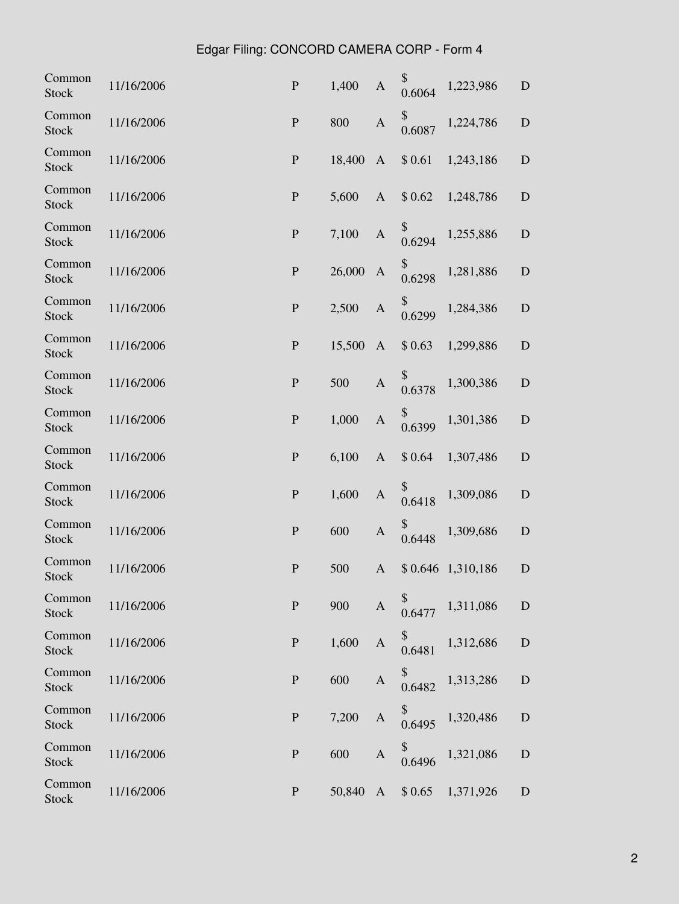## Edgar Filing: CONCORD CAMERA CORP - Form 4

| Common<br><b>Stock</b> | 11/16/2006 | ${\bf P}$    | 1,400  | A            | \$<br>0.6064 | 1,223,986         | ${\bf D}$   |
|------------------------|------------|--------------|--------|--------------|--------------|-------------------|-------------|
| Common<br><b>Stock</b> | 11/16/2006 | ${\bf P}$    | 800    | $\mathbf{A}$ | \$<br>0.6087 | 1,224,786         | $\mathbf D$ |
| Common<br><b>Stock</b> | 11/16/2006 | ${\bf P}$    | 18,400 | $\mathbf{A}$ | \$0.61       | 1,243,186         | D           |
| Common<br><b>Stock</b> | 11/16/2006 | ${\bf P}$    | 5,600  | $\mathbf{A}$ | \$0.62       | 1,248,786         | $\mathbf D$ |
| Common<br>Stock        | 11/16/2006 | ${\bf P}$    | 7,100  | $\mathbf{A}$ | \$<br>0.6294 | 1,255,886         | $\mathbf D$ |
| Common<br><b>Stock</b> | 11/16/2006 | ${\bf P}$    | 26,000 | $\mathbf{A}$ | \$<br>0.6298 | 1,281,886         | D           |
| Common<br><b>Stock</b> | 11/16/2006 | ${\bf P}$    | 2,500  | A            | \$<br>0.6299 | 1,284,386         | ${\bf D}$   |
| Common<br><b>Stock</b> | 11/16/2006 | $\mathbf{P}$ | 15,500 | $\mathbf{A}$ | \$0.63       | 1,299,886         | D           |
| Common<br><b>Stock</b> | 11/16/2006 | ${\bf P}$    | 500    | $\mathbf{A}$ | \$<br>0.6378 | 1,300,386         | ${\bf D}$   |
| Common<br><b>Stock</b> | 11/16/2006 | ${\bf P}$    | 1,000  | $\mathbf{A}$ | \$<br>0.6399 | 1,301,386         | $\mathbf D$ |
| Common<br><b>Stock</b> | 11/16/2006 | ${\bf P}$    | 6,100  | $\mathbf{A}$ | \$0.64       | 1,307,486         | $\mathbf D$ |
| Common<br><b>Stock</b> | 11/16/2006 | ${\bf P}$    | 1,600  | $\mathbf{A}$ | \$<br>0.6418 | 1,309,086         | $\mathbf D$ |
| Common<br><b>Stock</b> | 11/16/2006 | ${\bf P}$    | 600    | $\mathbf{A}$ | 0.6448       | 1,309,686         | D           |
| Common<br><b>Stock</b> | 11/16/2006 | ${\bf P}$    | 500    | $\mathbf{A}$ |              | \$0.646 1,310,186 | D           |
| Common<br><b>Stock</b> | 11/16/2006 | ${\bf P}$    | 900    | $\mathbf{A}$ | 0.6477       | 1,311,086         | ${\bf D}$   |
| Common<br><b>Stock</b> | 11/16/2006 | ${\bf P}$    | 1,600  | $\mathbf{A}$ | \$<br>0.6481 | 1,312,686         | ${\bf D}$   |
| Common<br><b>Stock</b> | 11/16/2006 | ${\bf P}$    | 600    | $\mathbf{A}$ | \$<br>0.6482 | 1,313,286         | ${\bf D}$   |
| Common<br><b>Stock</b> | 11/16/2006 | ${\bf P}$    | 7,200  | $\mathbf{A}$ | \$<br>0.6495 | 1,320,486         | ${\bf D}$   |
| Common<br><b>Stock</b> | 11/16/2006 | ${\bf P}$    | 600    | $\mathbf{A}$ | \$<br>0.6496 | 1,321,086         | $\mathbf D$ |
| Common<br>Stock        | 11/16/2006 | ${\bf P}$    | 50,840 | $\mathbf{A}$ | \$0.65       | 1,371,926         | $\mathbf D$ |